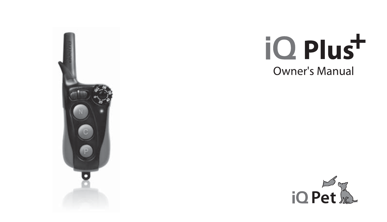

## iQ Plus<sup>+</sup> Owner's Manual

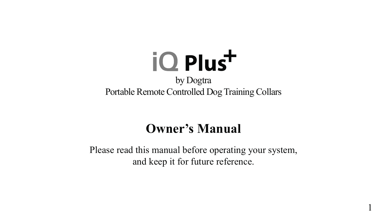

## **Owner's Manual**

Please read this manual before operating your system, and keep it for future reference.

1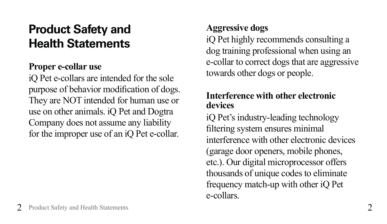## **Product Safety and Health Statements**

#### **Proper e-collar use**

iQ Pet e-collars are intended for the sole purpose of behavior modification of dogs. They are NOT intended for human use or use on other animals. iQ Pet and Dogtra Company does not assume any liability for the improper use of an iQ Pet e-collar.

#### **Aggressive dogs**

iQ Pet highly recommends consulting a dog training professional when using an e-collar to correct dogs that are aggressive towards other dogs or people.

#### **Interference with other electronic devices**

iQ Pet's industry-leading technology filtering system ensures minimal interference with other electronic devices (garage door openers, mobile phones, etc.). Our digital microprocessor offers thousands of unique codes to eliminate frequency match-up with other iQ Pet e-collars.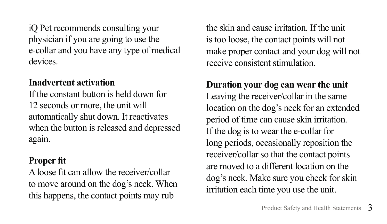iQ Pet recommends consulting your physician if you are going to use the e-collar and you have any type of medical devices.

#### **Inadvertent activation**

If the constant button is held down for 12 seconds or more, the unit will automatically shut down. It reactivates when the button is released and depressed again.

#### **Proper fit**

A loose fit can allow the receiver/collar to move around on the dog's neck. When this happens, the contact points may rub

the skin and cause irritation. If the unit is too loose, the contact points will not make proper contact and your dog will not receive consistent stimulation.

### **Duration your dog can wear the unit** Leaving the receiver/collar in the same

location on the dog's neck for an extended period of time can cause skin irritation. If the dog is to wear the e-collar for long periods, occasionally reposition the receiver/collar so that the contact points are moved to a different location on the dog's neck. Make sure you check for skin irritation each time you use the unit.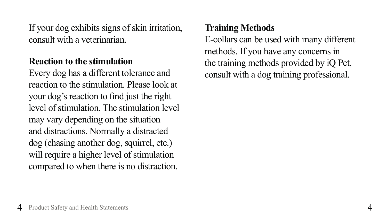If your dog exhibits signs of skin irritation, consult with a veterinarian.

#### **Reaction to the stimulation**

Every dog has a different tolerance and reaction to the stimulation. Please look at your dog's reaction to find just the right level of stimulation. The stimulation level may vary depending on the situation and distractions. Normally a distracted dog (chasing another dog, squirrel, etc.) will require a higher level of stimulation compared to when there is no distraction.

#### **Training Methods**

E-collars can be used with many different methods. If you have any concerns in the training methods provided by iQ Pet, consult with a dog training professional.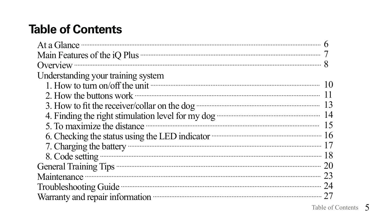## **Table of Contents**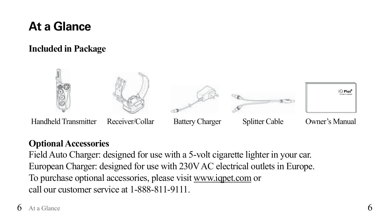## **At a Glance**

#### **Included in Package**



#### **Optional Accessories**

Field Auto Charger: designed for use with a 5-volt cigarette lighter in your car. European Charger: designed for use with 230V AC electrical outlets in Europe. To purchase optional accessories, please visit www.iqpet.com or call our customer service at 1-888-811-9111.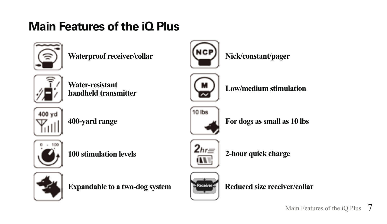## **Main Features of the iQ Plus**



Waterproof receiver/collar **Nick/constant/pager** 



**Water-resistant**  Water-resistant<br>handheld transmitter<br>**Low/medium stimulation** 





**100 stimulation levels**



**2-hour quick charge**



**Expandable to a two-dog system Reduced size receiver/collar** 











**400-yard range For dogs as small as 10 lbs**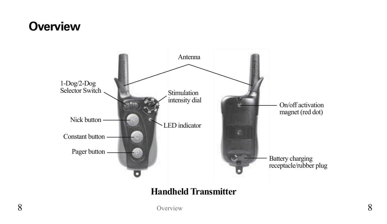## **Overview**

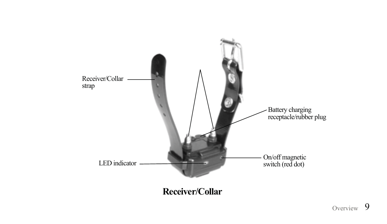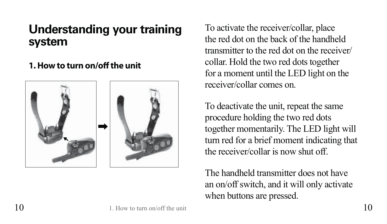## **Understanding your training system**

#### **1. How to turn on/off the unit**



To activate the receiver/collar, place the red dot on the back of the handheld transmitter to the red dot on the receiver/ collar. Hold the two red dots together for a moment until the LED light on the receiver/collar comes on.

To deactivate the unit, repeat the same procedure holding the two red dots together momentarily. The LED light will turn red for a brief moment indicating that the receiver/collar is now shut off.

The handheld transmitter does not have an on/off switch, and it will only activate when buttons are pressed.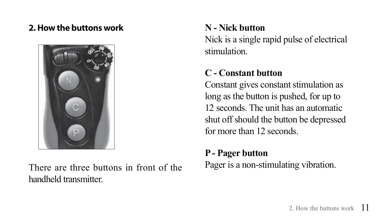#### **2. How the buttons work**



There are three buttons in front of the handheld transmitter.

#### **N - Nick button**

Nick is a single rapid pulse of electrical stimulation.

#### **C - Constant button**

Constant gives constant stimulation as long as the button is pushed, for up to 12 seconds. The unit has an automatic shut off should the button be depressed for more than 12 seconds.

#### **P - Pager button**

Pager is a non-stimulating vibration.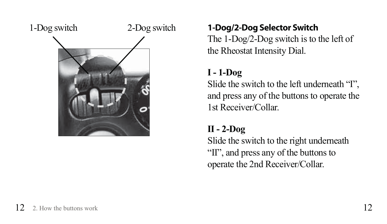

#### **1-Dog/2-Dog Selector Switch**

The 1-Dog/2-Dog switch is to the left of the Rheostat Intensity Dial.

#### **I - 1-Dog**

Slide the switch to the left underneath "I", and press any of the buttons to operate the 1st Receiver/Collar.

#### **II - 2-Dog**

Slide the switch to the right underneath "II", and press any of the buttons to operate the 2nd Receiver/Collar.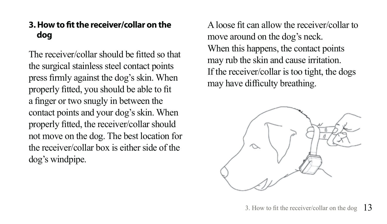#### **3. How to fit the receiver/collar on the dog**

The receiver/collar should be fitted so that the surgical stainless steel contact points press firmly against the dog's skin. When properly fitted, you should be able to fit a finger or two snugly in between the contact points and your dog's skin. When properly fitted, the receiver/collar should not move on the dog. The best location for the receiver/collar box is either side of the dog's windpipe.

A loose fit can allow the receiver/collar to move around on the dog's neck. When this happens, the contact points may rub the skin and cause irritation. If the receiver/collar is too tight, the dogs may have difficulty breathing.

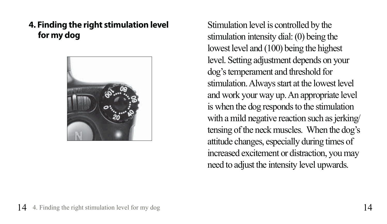**4. Finding the right stimulation level for my dog**



Stimulation level is controlled by the stimulation intensity dial: (0) being the lowest level and (100) being the highest level. Setting adjustment depends on your dog's temperament and threshold for stimulation. Always start at the lowest level and work your way up. An appropriate level is when the dog responds to the stimulation with a mild negative reaction such as jerking/ tensing of the neck muscles. When the dog's attitude changes, especially during times of increased excitement or distraction, you may need to adjust the intensity level upwards.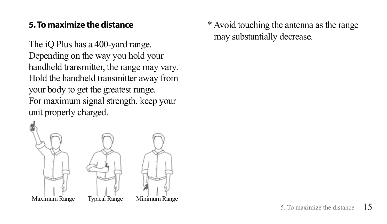#### **5. To maximize the distance**

The iQ Plus has a 400-yard range. Depending on the way you hold your handheld transmitter, the range may vary. Hold the handheld transmitter away from your body to get the greatest range. For maximum signal strength, keep your unit properly charged.



\* Avoid touching the antenna as the range may substantially decrease.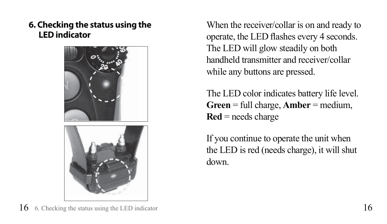**6. Checking the status using the LED indicator**



When the receiver/collar is on and ready to operate, the LED flashes every 4 seconds. The LED will glow steadily on both handheld transmitter and receiver/collar while any buttons are pressed.

The LED color indicates battery life level. **Green** = full charge, **Amber** = medium, **Red** = needs charge

If you continue to operate the unit when the LED is red (needs charge), it will shut down.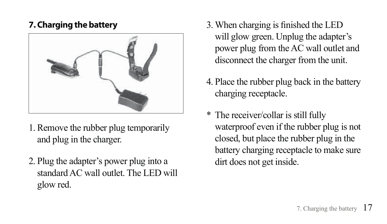#### **7. Charging the battery**



- 1. Remove the rubber plug temporarily and plug in the charger.
- 2. Plug the adapter's power plug into a standard AC wall outlet. The LED will glow red.
- 3. When charging is finished the LED will glow green. Unplug the adapter's power plug from the AC wall outlet and disconnect the charger from the unit.
- 4. Place the rubber plug back in the battery charging receptacle.
- \* The receiver/collar is still fully waterproof even if the rubber plug is not closed, but place the rubber plug in the battery charging receptacle to make sure dirt does not get inside.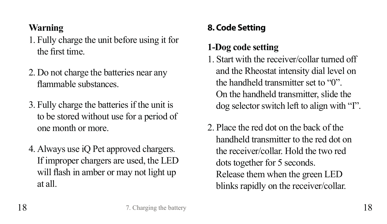#### **Warning**

- 1. Fully charge the unit before using it for the first time
- 2. Do not charge the batteries near any flammable substances
- 3. Fully charge the batteries if the unit is to be stored without use for a period of one month or more.
- 4. Always use iQ Pet approved chargers. If improper chargers are used, the LED will flash in amber or may not light up at all.

#### **8. Code Setting**

#### **1-Dog code setting**

- 1. Start with the receiver/collar turned off and the Rheostat intensity dial level on the handheld transmitter set to "0". On the handheld transmitter, slide the dog selector switch left to align with "I".
- 2. Place the red dot on the back of the handheld transmitter to the red dot on the receiver/collar. Hold the two red dots together for 5 seconds. Release them when the green LED blinks rapidly on the receiver/collar.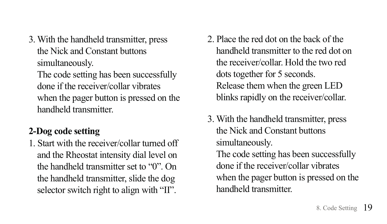3. With the handheld transmitter, press the Nick and Constant buttons simultaneously. The code setting has been successfully done if the receiver/collar vibrates when the pager button is pressed on the handheld transmitter.

#### **2-Dog code setting**

1. Start with the receiver/collar turned off and the Rheostat intensity dial level on the handheld transmitter set to "0". On the handheld transmitter, slide the dog selector switch right to align with "II".

- 2. Place the red dot on the back of the handheld transmitter to the red dot on the receiver/collar. Hold the two red dots together for 5 seconds. Release them when the green LED blinks rapidly on the receiver/collar.
- 3. With the handheld transmitter, press the Nick and Constant buttons simultaneously. The code setting has been successfully done if the receiver/collar vibrates when the pager button is pressed on the handheld transmitter.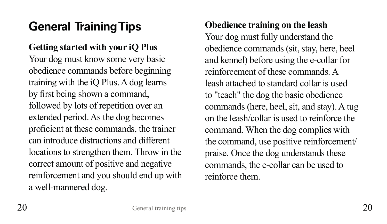## **General Training Tips**

#### **Getting started with your iQ Plus**

Your dog must know some very basic obedience commands before beginning training with the iQ Plus. A dog learns by first being shown a command, followed by lots of repetition over an extended period. As the dog becomes proficient at these commands, the trainer can introduce distractions and different locations to strengthen them. Throw in the correct amount of positive and negative reinforcement and you should end up with a well-mannered dog.

**Obedience training on the leash**  Your dog must fully understand the obedience commands (sit, stay, here, heel and kennel) before using the e-collar for reinforcement of these commands. A leash attached to standard collar is used to "teach" the dog the basic obedience commands (here, heel, sit, and stay). A tug on the leash/collar is used to reinforce the command. When the dog complies with the command, use positive reinforcement/ praise. Once the dog understands these commands, the e-collar can be used to reinforce them.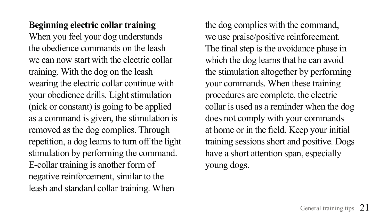**Beginning electric collar training** When you feel your dog understands the obedience commands on the leash we can now start with the electric collar training. With the dog on the leash wearing the electric collar continue with your obedience drills. Light stimulation (nick or constant) is going to be applied as a command is given, the stimulation is removed as the dog complies. Through repetition, a dog learns to turn off the light stimulation by performing the command. E-collar training is another form of negative reinforcement, similar to the leash and standard collar training. When

the dog complies with the command, we use praise/positive reinforcement. The final step is the avoidance phase in which the dog learns that he can avoid the stimulation altogether by performing your commands. When these training procedures are complete, the electric collar is used as a reminder when the dog does not comply with your commands at home or in the field. Keep your initial training sessions short and positive. Dogs have a short attention span, especially young dogs.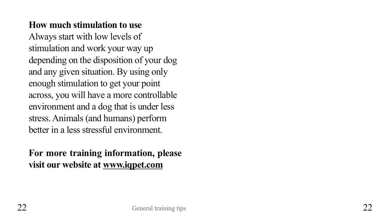#### **How much stimulation to use**

Always start with low levels of stimulation and work your way up depending on the disposition of your dog and any given situation. By using only enough stimulation to get your point across, you will have a more controllable environment and a dog that is under less stress. Animals (and humans) perform better in a less stressful environment.

#### **For more training information, please visit our website at www.iqpet.com**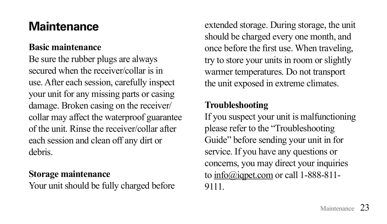## **Maintenance**

#### **Basic maintenance**

Be sure the rubber plugs are always secured when the receiver/collar is in use. After each session, carefully inspect your unit for any missing parts or casing damage. Broken casing on the receiver/ collar may affect the waterproof guarantee of the unit. Rinse the receiver/collar after each session and clean off any dirt or debris.

#### **Storage maintenance**

Your unit should be fully charged before

extended storage. During storage, the unit should be charged every one month, and once before the first use. When traveling, try to store your units in room or slightly warmer temperatures. Do not transport the unit exposed in extreme climates.

#### **Troubleshooting**

If you suspect your unit is malfunctioning please refer to the "Troubleshooting Guide" before sending your unit in for service. If you have any questions or concerns, you may direct your inquiries to info@iqpet.com or call 1-888-811- 9111.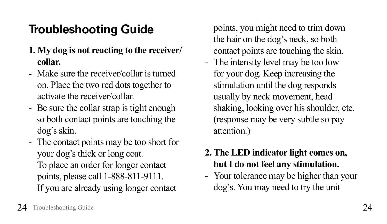## **Troubleshooting Guide**

- **1. My dog is not reacting to the receiver/ collar.**
- Make sure the receiver/collar is turned on. Place the two red dots together to activate the receiver/collar.
- Be sure the collar strap is tight enough so both contact points are touching the dog's skin.
- The contact points may be too short for your dog's thick or long coat. To place an order for longer contact points, please call 1-888-811-9111. If you are already using longer contact

points, you might need to trim down the hair on the dog's neck, so both contact points are touching the skin.

- The intensity level may be too low for your dog. Keep increasing the stimulation until the dog responds usually by neck movement, head shaking, looking over his shoulder, etc. (response may be very subtle so pay attention.)

#### **2. The LED indicator light comes on, but I do not feel any stimulation.**

- Your tolerance may be higher than your dog's. You may need to try the unit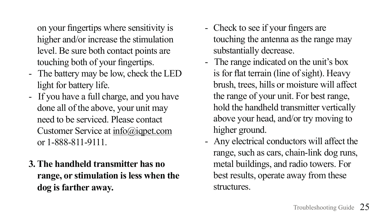on your fingertips where sensitivity is higher and/or increase the stimulation level. Be sure both contact points are touching both of your fingertips.

- The battery may be low, check the LED light for battery life.
- If you have a full charge, and you have done all of the above, your unit may need to be serviced. Please contact Customer Service at info@iqpet.com or 1-888-811-9111.
- **3. The handheld transmitter has no range, or stimulation is less when the dog is farther away.**
- Check to see if your fingers are touching the antenna as the range may substantially decrease.
- The range indicated on the unit's box is for flat terrain (line of sight). Heavy brush, trees, hills or moisture will affect the range of your unit. For best range, hold the handheld transmitter vertically above your head, and/or try moving to higher ground.
- Any electrical conductors will affect the range, such as cars, chain-link dog runs, metal buildings, and radio towers. For best results, operate away from these structures.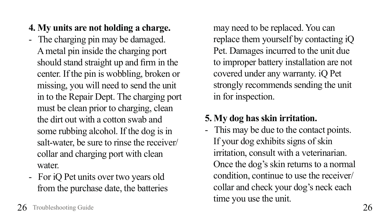- **4. My units are not holding a charge.**
- The charging pin may be damaged. A metal pin inside the charging port should stand straight up and firm in the center. If the pin is wobbling, broken or missing, you will need to send the unit in to the Repair Dept. The charging port must be clean prior to charging, clean the dirt out with a cotton swab and some rubbing alcohol. If the dog is in salt-water, be sure to rinse the receiver/ collar and charging port with clean water
- For iQ Pet units over two years old from the purchase date, the batteries

may need to be replaced. You can replace them yourself by contacting iQ Pet. Damages incurred to the unit due to improper battery installation are not covered under any warranty. iQ Pet strongly recommends sending the unit in for inspection.

#### **5. My dog has skin irritation.**

- This may be due to the contact points. If your dog exhibits signs of skin irritation, consult with a veterinarian. Once the dog's skin returns to a normal condition, continue to use the receiver/ collar and check your dog's neck each time you use the unit.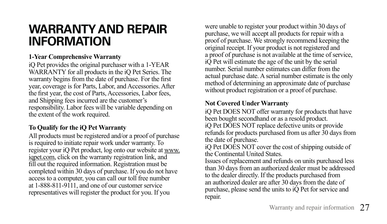### **WARRANTY AND REPAIR INFORMATION**

#### **1-Year Comprehensive Warranty**

iQ Pet provides the original purchaser with a 1-YEAR WARRANTY for all products in the iQ Pet Series. The warranty begins from the date of purchase. For the first year, coverage is for Parts, Labor, and Accessories. After the first year, the cost of Parts. Accessories, Labor fees. and Shipping fees incurred are the customer's responsibility. Labor fees will be variable depending on the extent of the work required.

#### **To Qualify for the iQ Pet Warranty**

All products must be registered and/or a proof of purchase is required to initiate repair work under warranty. To register your iQ Pet product, log onto our website at www. igpet.com, click on the warranty registration link, and fill out the required information. Registration must be completed within 30 days of purchase. If you do not have access to a computer, you can call our toll free number at 1-888-811-9111, and one of our customer service representatives will register the product for you. If you

were unable to register your product within 30 days of purchase, we will accept all products for repair with a proof of purchase. We strongly recommend keeping the original receipt. If your product is not registered and a proof of purchase is not available at the time of service, iQ Pet will estimate the age of the unit by the serial number. Serial number estimates can differ from the actual purchase date. A serial number estimate is the only method of determining an approximate date of purchase without product registration or a proof of purchase.

#### **Not Covered Under Warranty**

iQ Pet DOES NOT offer warranty for products that have been bought secondhand or as a resold product. iQ Pet DOES NOT replace defective units or provide refunds for products purchased from us after 30 days from the date of purchase.

iQ Pet DOES NOT cover the cost of shipping outside of the Continental United States.

Issues of replacement and refunds on units purchased less than 30 days from an authorized dealer must be addressed to the dealer directly. If the products purchased from an authorized dealer are after 30 days from the date of purchase, please send the units to iO Pet for service and repair.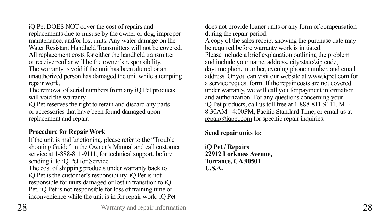iQ Pet DOES NOT cover the cost of repairs and replacements due to misuse by the owner or dog, improper maintenance, and/or lost units. Any water damage on the Water Resistant Handheld Transmitters will not be covered. All replacement costs for either the handheld transmitter or receiver/collar will be the owner's responsibility. The warranty is void if the unit has been altered or an unauthorized person has damaged the unit while attempting repair work.

The removal of serial numbers from any iQ Pet products will void the warranty.

iQ Pet reserves the right to retain and discard any parts or accessories that have been found damaged upon replacement and repair.

#### **Procedure for Repair Work**

If the unit is malfunctioning, please refer to the "Trouble shooting Guide" in the Owner's Manual and call customer service at 1-888-811-9111, for technical support, before sending it to iQ Pet for Service.

The cost of shipping products under warranty back to iQ Pet is the customer's responsibility. iQ Pet is not responsible for units damaged or lost in transition to iQ Pet. iQ Pet is not responsible for loss of training time or inconvenience while the unit is in for repair work. iQ Pet does not provide loaner units or any form of compensation during the repair period.

A copy of the sales receipt showing the purchase date may be required before warranty work is initiated. Please include a brief explanation outlining the problem and include your name, address, city/state/zip code, daytime phone number, evening phone number, and email address. Or you can visit our website at www.iqpet.com for a service request form. If the repair costs are not covered under warranty, we will call you for payment information and authorization. For any questions concerning your iQ Pet products, call us toll free at 1-888-811-9111, M-F 8:30AM - 4:00PM. Pacific Standard Time, or email us at  $repair@iqpet.com$  for specific repair inquiries.

**Send repair units to:**

**iQ Pet / Repairs 22912 Lockness Avenue, Torrance, CA 90501 U.S.A.**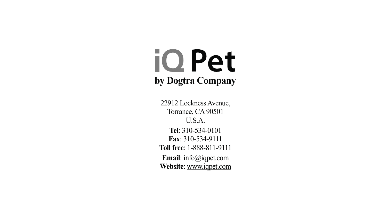## iQ Pet **by Dogtra Company**

22912 Lockness Avenue, Torrance, CA 90501 U.S.A. **Tel**: 310-534-0101 **Fax**: 310-534-9111 **Toll free**: 1-888-811-9111 **Email**: info@iqpet.com **Website**: www.iqpet.com